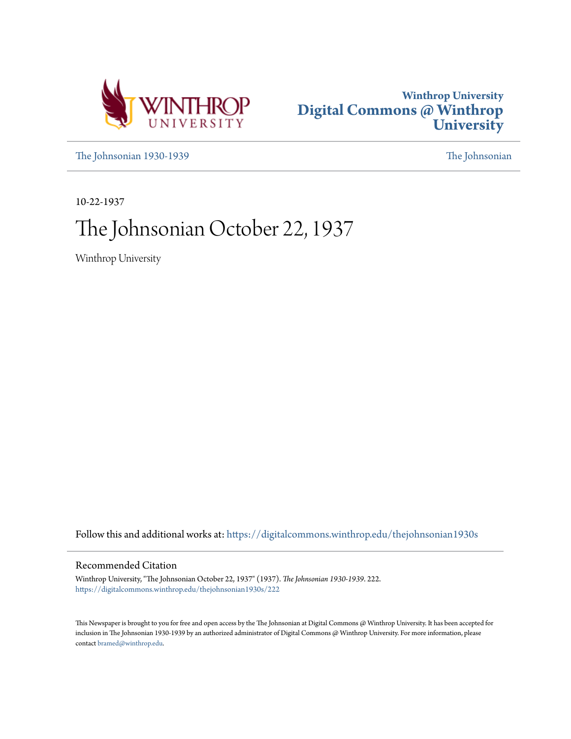



[The Johnsonian 1930-1939](https://digitalcommons.winthrop.edu/thejohnsonian1930s?utm_source=digitalcommons.winthrop.edu%2Fthejohnsonian1930s%2F222&utm_medium=PDF&utm_campaign=PDFCoverPages) [The Johnsonian](https://digitalcommons.winthrop.edu/thejohnsonian_newspaper?utm_source=digitalcommons.winthrop.edu%2Fthejohnsonian1930s%2F222&utm_medium=PDF&utm_campaign=PDFCoverPages)

10-22-1937

# The Johnsonian October 22, 1937

Winthrop University

Follow this and additional works at: [https://digitalcommons.winthrop.edu/thejohnsonian1930s](https://digitalcommons.winthrop.edu/thejohnsonian1930s?utm_source=digitalcommons.winthrop.edu%2Fthejohnsonian1930s%2F222&utm_medium=PDF&utm_campaign=PDFCoverPages)

# Recommended Citation

Winthrop University, "The Johnsonian October 22, 1937" (1937). *The Johnsonian 1930-1939*. 222. [https://digitalcommons.winthrop.edu/thejohnsonian1930s/222](https://digitalcommons.winthrop.edu/thejohnsonian1930s/222?utm_source=digitalcommons.winthrop.edu%2Fthejohnsonian1930s%2F222&utm_medium=PDF&utm_campaign=PDFCoverPages)

This Newspaper is brought to you for free and open access by the The Johnsonian at Digital Commons @ Winthrop University. It has been accepted for inclusion in The Johnsonian 1930-1939 by an authorized administrator of Digital Commons @ Winthrop University. For more information, please contact [bramed@winthrop.edu](mailto:bramed@winthrop.edu).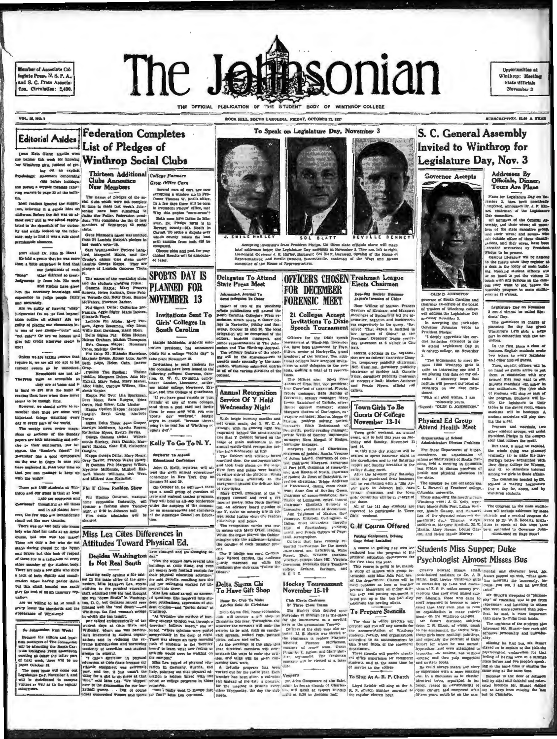**Member of Associate Col**legiate Press, N. S. P. A. and S. C. Press Associa tion. Circulation: 2,400



ROCK HILL, SOUTH CAROLINA, FRIDAY, OCTOBER 22, 1937

**VOL. 16, NO. 0** 

### **Federation Completes Editorial Asides List of Pledges of** an Kato Gienn Hardin wir **Winthrop Social Clubs** banner this week for knowing

Thirteen Additional College Farmers

to wear for anowing<br>top girls. Instead of given gy! statement concerning

the posted a cryptic message refer<br>ring readers to page 32 of the built

Most readers isnored the suggest on resons unover the sugges-<br>believing it a gentle hint on<br>terms. Before the day was up al-<br>t every girl in the school capitumost every girl in the senior capital

Lines were also the duration of the current content of Winlineys at some<br>informed the current country-off. Near the current country-off content country-off. Near<br>the country-off content of the current country-off content

are solid interesting and only one parts of the David Company of the Barristan and the structuring and only be the TC also is denoted by the structuring in the temperature and the "structuring in the structuring in the st

op and our gu

and in all places; how-<br>the few who are inconsiderate nd out like sore thumbs. There was one and only one your

stand during chapal for the hymn<br>and prayer but this lack of respect<br>of these few is a raflection on every<br>other member of the student body. a lack of both dignity and consideration when having parlor dates,

Clubs Announ The names of pledges of the so-<br>cial clubs within were not complete<br>in time to make last week's dolu-<br>conian have been submitted to<br>clubs. Tallie the Policy, Pederation presince definition<br>details the Policy density does

ere are 1.400 students at Win- Phi U Gives Fashion Show

Date who filled ber mails at an Artist Miss Lea Cites Differences in course. but one was too many! Miss Lea Cites Differences in

Seven correct correct community of correct and the process of correct computer of correct community of the advancement of the correct correct correct correct correct correct correct correct correct correct correct correct Why this sudden "corn-create"<br>post. Dr. Phelps' farm in Missouri. Dr. Phelps' farm is in Howard county-bit. Notive in<br>Carroll. To settle a displate over which compute the control. To settle a displate over<br>corn samples the

**Grow Office Corn** 

# **Invitations Sent To**

learn and the state of the state of the state of the state of the state of the state of the state of the state of the state of the state of the state of the state of the state of the state of the state of the state of the

.<br>hmonian, Journal Yo<br>md Delegates To Cohe

ciation. Winthrop summitted entries

**Annual Recognition** 

Service Of Y Held **Wednesday Night** 

With bright burning candles

t organ music, the Y. W. C.<br>augle with its glowing light w<br>pended behind the setni-circul

ne that Y Cabinet formed on the

lege, social justice when one reaches<br>clitterable and peakes.<br>The recognition arrivies was readed<br>in union with Marry O'Dell insulants.<br>While the organ played the Cabine-<br>intigled with the audience—lighting<br>of the candles



Debating Society D<br>Japan's Invasion of

Six-sees before the Legislature and a result<br>super difference J. E. Harley, Britatives; and Neville Bennet<br>tee of the House of Represent are Day assembly on November 2. They are, left to<br>Barnwell; Soi Blett, Barnwell, Speaker of the Ho<br>til, Bennettsville, chairman of the Ways and eft to right<br>se House o

# Delegates To Attend<br>State Press Meet OFFICERS CHOSEN Freshman League **FOR DECEMBER FORENSIC MEET** Heads of two of the Winthrom<br>college publications will attend the South Carolina collegiate Press at<br>sociation which meets at Coker collegiate Press are<br>legs in Hartsville, Friday and Sat-

To Speak on Legislature Day, November 3

21 Colleges Acce **Invitations To Dixie** Hrmative, negative, and backbench-<br>ers respectively in the query: "Re-<br>solved: That Japan is justified in<br>her invasion of China" at the<br>Freshman Debaters' league yester-<br>disp afternoon at 5 o'clock in Cito<br>hall. Speech Tournament

**Special Toward Street International Street International International Street International Street International Context International Context Inc., and T-2-4. have been announced by Pays | pail. Alternoon at 9 orbits in** 

cenville, oratory manager; Mary **Town Girls To Be** 

nuer contest manager; Annie<br>argaret Graves of Darlington, ex-<br>happer manager; Monica Megga of<br>hating problem solving contest<br>singer; Edith Bedenbaugh of **Guests Of College** November 13-14 er vending to Town girls' ent, will be held this year on Sat

the Willie Start reading manager;<br>the Willie of Sumter, impromptunger; Norn Morgan of Hodges,<br>magne manager; Norn Morgan of Hodges,<br>Margaret Reid of Charleston,<br>Margaret Reid of Charleston,<br>Johnn Hainnen; Margaret Annuaton urday and Sanday, November

Ann tts of North, chairs sms; Jo Jones of Batesburg, reor rooms; oo arenes or passeours; representation explores the medical mean; Anne Cox of Bowling Green<br>rent; Anne Cox of Bowling Green<br>charman of accommodalisas; Sar Taylor et Carrier<br>Taylor of Lexington, entert tumon<br>clust

Tapare as Canadian Meridian Constant Constant Constant Constant Constant Constant Constant Constant Constant Constant Constant Constant Constant Constant Constant Constant Constant Constant Constant Constant Constant Const

ex that have recently re-<br>reservations for the speech<br>ent are: Lynchturg, Waker<br>Elon, Western Carolina<br>cellege, Mars Hill, Virginia<br>at, Nebraska State Teachers<br>Erakane, Earlham, and



S. C. General Assembly

**Invited to Winthrop for** 

Legislature Day, Nov. 3

Governor Accepts

ortunities at

Winthrop: Meeth

State Officiale November 3

**BSCRIPTION, SLOP A TEA** 

Addresses By<br>Officials, Ding

**Tours Are Plans** 

ssembly program in main au

of students will sing as part of<br>the program. Students will im-<br>withe len hegislators to their<br>students of the diving room, where<br>students will be hosteness. A<br>student orchestra will play during the meal.<br>ing the meal mars

neg inv mess,<br>Proctors and marghals, two<br>other student groups, will assist<br>President Phelps in the campus<br>tour that follows the mess.

rop at

The program in the main audit

de addre es by sta

outside and a musted program distribution and a musted program distribution to predict this time have<br>the to speak at this time have<br>been catenaid to Governor Jehn-<br>(Continued on Page Pour)

OLIN D. JOHNSTON

ernor of South Carolina and governor of South Carolina and Carolina and Carolina and Carolina Carolina<br>of Irustees of Wishbrop college.<br>will address the Legislature Day and Carolina and Carolina Increment R.<br>In accepting the invision of Carolina Poly Representation of Maricon, Frances<br>Reference of Kerahaw, and Margaret<br>Pessinger of Springfield led the af-<br>granative, negative, and backbench-<br>ranative, negative, and backbench-<br>ranative, negative, and backbench-

Legislature Day on November<br>3 could almost be called Ski-<br>denis Day.<br>The committee in charge of<br>planning the day has given Windtropy in depth of planning the day<br>part in connection with the ac-<br>tivities.

 $\mu$  . The first place a class of the first place a class of business fixed<br>in the first place a class of the contrast fixed in the contrast of the<br>state and other invited quests. Then, any<br>density fixed on both the contr attend Legislature Day at Winthrop college, on Noven

The inductment to meet almost 1.500 Winthrop girls is<br>most 1.500 Winthrop girls is<br>emplemen interesting one and I<br>cenfinity and the one and I<br>cenfinity is allowed by the basic modifying will prevent my being at<br>winthrop on **Lioned** 

uoned.<br>
"With all good wishes, I am<br>
"Bincerely yours,<br>
"Signed: "OLIN D. JOHNSTON."

# **Physical Ed Group**

**Attend Health Meet** 

### Organization of Sch<br>Administrators Disco sense Problems

and 3.<br>
and 3.<br>
A coverage  $\epsilon$ -<br>
A chi the due Department of Super-<br>
At this time duy studient suil be The State Department of Super-<br>
Invited to speed Saturday raight in interdence, an organization of<br>
temper and Sunday tour that follows the meal.<br>But then, it must be recalled<br>the whole thing was planned<br>originally (i) to make the law-<br>maritzys better acquainted with<br>their State College for Woman, and (2) to stimulate interest<br>among the girls in State affairs The committee headed by Dr. Kinard is making Leg<br>Day a day for, about,

trar; Mt es Julia Post, Lillian Well-Town per rate of the physical countries.<br>
Town per Maude Causary, and Man,aret<br>
Les of the physical relation de-<br>
partners : June 7, Thomas, Market<br>
Man Man, Market Man, Market<br>
Man, Market Case<br>
Altrin, Market Manna, Loui

the unner.<br>
All of the 111 day students are<br>
expected to participate in Town<br>
Uirls' weekend. weekend. **G** Jf Course Offered

weekend, an an

n Andrews<br>(ficial roll

# Putting Equipment, Driving<br>Cage Being Installed

For  $C$  counter in estimate the set of the content of the set of the set of the counter of the set of the content of the set of the content of the content of the set of the content of the set of the set of the set of the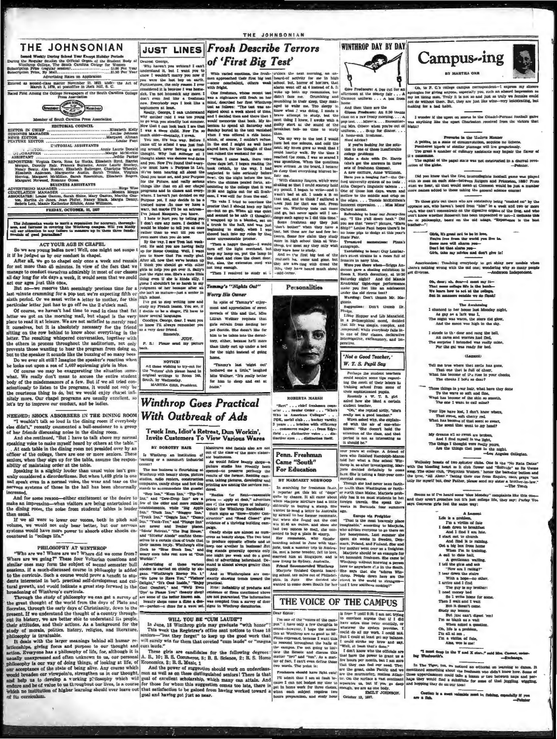### THE JOHNSONIAN

sekiy During School Year Except Holiday Periods<br>dar Sezion the Official Organ of the Student Bolises. The South Carolina College for Women  $\overline{R}$ 

 $\begin{tabular}{ll} &\tt NOTICIS1 \\ All those wrishing to try-out for the "rriter" club please hand in original writting to Room 346, South, by Wedenenday. \\ &\tt MAKTEA ORR, Pruddent. \end{tabular}$ 

**Winthrop Goes Practical** 

pace to read at a tenure. We are not asidated to morely reed  $\sim$  theoretes it correlates the resulting on the row behind to know about everything in the ass very destructing on the row behind to know about everything in the context in process carougnout the security net the program from doing so, but to the speaker it sounds like the burzing of so many bees Do to sever at still? Imagine the speaker's reaction when the bolds out upon a se

of course we may be exaggerating the situation same<br>hold of course we may be exaggerating the situation same<br>holdy of the maid mean to accuse the entire students and<br>body of the maidmeanors of a few. But if we all tried co nitely more. Our chapel programs are usually excellent, selet's try to improve our conduct, and be ladies.

Secretion, Every during the salty of Christminy, drop to the hand and point in the partial species of the salte of the country through.<br>
point in section with the particular country and the section of the salte of the sal

JUST LINES Frosh Describe Terrors of 'First Big Test' Dearest George.<br>Why haven't you written? I can't

THE JOHNSONIAN

pet Scottle. She doesn't like for<br>him to be taken into the dorml-<br>tory, either, because he'll more<br>than likely curl up under a bed

for the night instead of going Tammy's last 'night out'<br>bothered me a little," laughed<br>Miss Wellner. "It's really better

for him to sleep and eat at home."

ROBERTA MARSH "Bert" . . . chief freshman con

where ... wear treasures were ... Who<br>who is American Colleges" ...<br>TOK, social club ... heckey varsity<br>3 years ... bristics with efficiency<br>1 years ... bristics with efficiency<br>1... commerce major ... from Edgy<br>field ... "Who's

**WINTHROP DAY BY DAY** 

Phelps.<br>
Into Bopper and Lib Manafield.<br>
In a philosophical mood, decided<br>
that life was simple, complex, and<br>
that life was simple, complex, and<br>
compound; while everybody falls in-<br>
to cue of four classes, declarative

'Not a Good Teacher,' W. T. S. Pupil Say

Perhaps the student teachers<br>could acquire some tips regarding the merit of their labors in<br>training school from some of<br>their sophisticated pupils.

Their supplies<br>the policies and pupils. We are the substitute of the state<br> $\Delta$  and the state of the state of<br>the state of the state of the state of the state of<br>the results as a good tender. We will use a good tender of

overns as at I've heard some 'nuse Monday" complaints like this and they aren't grouches but it's just college life, they say: Farlay as Converse girls feel the same way:

n sure <br>
In The Tiger, ton, we noticed an editorial on learning<br>
med we memitioned ammething about the freshmen who didn't know<br>
Allan- (hose upper-dammen could take a teams or two between<br>
stiman- (hose upper-dammen could

apologies for giving anyons, especially you, such an absurd impression<br>my lot liking men. Truly it is not so and just as truly we females on<br>not do without them. But, they are just like wine-very informeding,<br>making for a **ader if the upset on acores in the Citadel-Pi**<br>hing like the upset Charleston received fr

Ily you, such an ab

dent-1 express my sin

**IO** AB

a in the Mod

Campus-ing

Oh, to P. C.'s col

Freversie in the Modern Manner<br>A pubble, in a state of circumvolution, acquires no lichens,<br>Feathered hiptes of similar plumage will live gregariously.<br>Troo graphs a number of culinary assistants may impair the flat

The capital of the papal state was not constructed in a diurnal reported in the capital of the papal state was not constructed in a diurnal re

Did you know that the first intercologiate football game was<br>in 20 mem on each side-between Rutgers and Princeton, 1869<br>ist we hear, all that would mean at Climman would be just a<br>re heanes added to these taking the genera

To those girls out there who are constantly heing "masked on" by<br>coposite act, who haven't heard from "him" in a week and two or minimal<br>double ways, who can't concentrate on the digestive organs of the freq. and "solid<br>c

Girls, it's great not to be in love Girls, it's great not to be in how,<br>Four's free from the world you live in.<br>Bome men will ohnrm you-<br>Don't let that alarm you-<br>Girls, take my advice and don't give in!

ers's not<br>t dive ): Tu reaching everybody to get shiny new models vary with the old one; wondering why so many p

Oh, dear; oh, dear-i must my it<br>That mase collage life is the bunh<br>We learn how to act at the collage : Lat the college,<br>side we do flunk!

 $\begin{tabular}{lcccccc} The Avankesling & & & \\ \end{tabular} \begin{tabular}{lcccccc} The Avankesling & & \\ \end{tabular} \begin{tabular}{lcccccc} a gap & a bar & and & & \\ \end{tabular} \begin{tabular}{lcccccc} The angle & a bar & and & \\ \end{tabular} \begin{tabular}{lcccccc} The angle & was & \\ \end{tabular} \end{tabular} \begin{tabular}{lcccccc} The angle & a bar & & \\ \end{tabular} \end{tabular}$ 

I strode to the door and rang the hell,<br>All cares and worries had fled,<br>The surprise I intended was really mine,<br>For the gal was ready for bed.

### $U_{AB}$

Tell me true where thet smile has gone,<br>That one that is full of cheer,<br>What has become of  $D-a$  rose in your checks<br>The checks I how, so dear?

ose things in your hair, what have the<br>To the wave so soft and fine,<br>ask has become of the akin so smootl<br>The one I want to call mine?

Your lips have lost, I don't know with That sweet, and cherry red, What has bee ecome of that some so sweet,

My dreams all so rweet are by<br>And I find nightlf in the 1<br>The things I thought were rest Are the things that pass really yours.<br>es in the n

Welleskey bonata of two spitzster clubs. One is the "No Russian and "solution" as it club flower and "Solution" as  $\Delta$  and  $\Delta$  and  $\Delta$  and  $\Delta$  and  $\Delta$  and  $\Delta$  and  $\Delta$  and  $\Delta$  and  $\Delta$  and  $\Delta$  and  $\Delta$  and  $\Delta$  an

A la A Manushing,<br>
Life is a problem,<br>
I'm a victim of fate<br>
I dash down to breakfast.<br>
And I find I am lute. I start out to church

And find it is rain<br>Get a big box from home<br>When Ta in trainh<br>A call to date hall,<br>A gentleman walling relating the string of the given and ask<br>"How am I rating?" d find it is rai

"How am 1 rating?"<br>
1 ter down the states<br>
With a hope-no other<br>
1 with a hope-no other<br>
1 The gay is my brother<br>
1 noed monoy hed<br>
60 1 write home for<br>
Then I wait and 1 wait<br>  $\frac{1}{2}$  and  $\frac{1}{2}$  and  $\frac{1}{2}$  and 1 But it doesn't o

Fort it doesn't come.<br>
Hudy my benoms<br>
But jux can't digest 'e<br>
Tra sa blank as a wall<br>
Oh, life is a problem,<br>
Ch, life is a problem,<br>
Tra a wickin of fate,<br>
Tra a wickin of fate,<br>
Alsa, woe is me!

"I must drop in the  $\nabla$  and  $\Sigma$  stor." said Mrs. Casser, or but Tochusen.

Castlen is a meet valuable must in fa

ur to da now how. Some<br>sen haps and per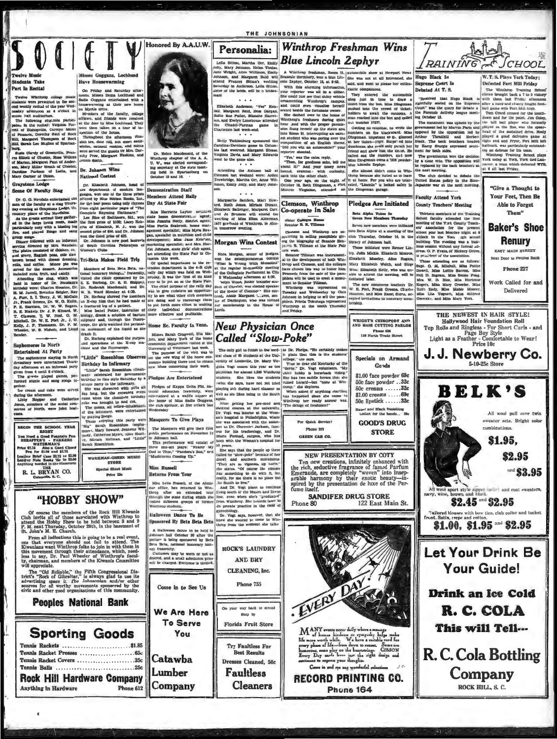

on, Mary Miller Seath of Chester,<br>Caroline Parkam of Latla, and<br>Mary Garner of Union.

Caraysian runsai at Letin, and 17. Jonanom was a contour and the sixter is and in System Lodge<br>
Sixter defined to the department of modern hand control in System and Caracter is control to the different of modern hand con

ores In North tertained At Party

sophomores staying in North<br>ory were entertained Thurs-<br>termon at an informal party<br>row 4 until 5 o'clock. 'The so

um e unui e o cioca.<br>gveda played games, per-<br>stunte and sang sunga to

ether.<br>Lee cream and cake were served<br>huring the afternoon.<br>Libby Elopper and Catherine<br>Genes, members of the social com-<br>nistee of North, were joint host-

REGIN THE SCHOOL NEAR PROPERTY NAMED A COOR FORMATION CONTRACTS - PARKERS<br>THE SWATERMANNS - COOR COORD THE SWATER PROPERTY OF STATE COORD THE LAST STATE AND RELATED THAT HAS NO COORD LABOR NAVITAL LAST COORD COORD THAT HAS

R. L. BRYAN CO.

# "HOBBY SHOW"

Of course the members of the Rock Hill Kiwanis club invite all of those associated with Winthrop to attend the Moby Show to be held between 3 and 9 P. M. next Tureway, October 28th, in the basement of St. John's M. E. Chu

In, John's M. E. Church.<br>
From all indications this is going to be a real event,<br>
From all indications the oil of a stend. The<br>
file and the serve proposition of the stead and the stead of<br>
Simple and the stead and the st

vus appreciate.<br>
The "Old Reliable," the Fifth Congressional Districts" "Rock of Gibraltar," is always glad to use its<br>
advertising space ir. The Johnsonian and/or other<br>
sources for all worthy movements spacewed by the<br>
s

# Come in to See Us **Peoples National Bank** We Are Here **To Serve Sporting Goods** You

Tennis Racket Covers .......................35c Tennis Balls ................................25c **Rock Hill Hardware Company** Anything in Hardware Phone 612

Dr. Helen Macdonald, of the<br>Winthrop chapter of the A. A.<br>U. W., was elected corresponding secretary at the state meet-

U. W., was exceeding necretary at the ing held in Span

National Contest

the fault<br>and it. Dr. Heriong explained the purpose drank it.<br>and operations of the  $\mathbb{X}$ -ray machine and the fluoroecope.

"Little" Rosenblum Observer **Birthday In Infirmary** 

vietning and a normalize (fresh- new ideas concerning their vietname) calculated the perenteenth concerning their vietname of the same of the same of the same of the same of the same of the same of the same of the same of

Piedges of Esppa Delta Phi, na-<br>tional education fraternity, were<br>enterrained at a waffe supper at<br>the home of Miss Badde Goggana,<br>the club sponsor, at five o'clock last

Masquers To Give Plays

is minimized and the infunction of the infunction of the inferred effect and the inferred effect and the inferred effect and the inferred effect in the state was known the chosen and the inferred effect of the inferred ef The Manquers will give their first<br>public performance on November 12<br>in Johnson hall.<br>This performance will consist of This performance will consist of<br>three one-act plays: "Nearer My<br>God to Thee," "Pandora's Box," and<br>"Mushrooms Coming Up."

WORKMAN-GREEN MUSIC **STORE** Special Sheet Music **Miss Rossell Detro 15c** 

**Returns From Tour** 

Vinthrop student

Catawba

Lumber

Company

THE JOHNSONIAN

 $\begin{tabular}{|l|l|l|} \hline & \multicolumn{3}{|l|}{\textbf{Mar} pair}} & \multicolumn{3}{|l|}{\textbf{Mar} pair}} & \multicolumn{3}{|l|}{\textbf{Mar} pair}} & \multicolumn{3}{|l|}{\textbf{Mar} pair}} & \multicolumn{3}{|l|}{\textbf{Mem} from}} & \multicolumn{3}{|l|}{\textbf{Mar} pair}} & \multicolumn{3}{|l|}{\textbf{CHrm} of}} & \multicolumn{3}{|l|}{\textbf{Plam} of}} & \multicolumn{3}{|l|}{\textbf{Ril} in}} & \multicolumn{3}{|l|}{\textbf{Cham} of$ 1937 graduate of Winthrop, in Alco

**Morgan Wins Contest** 

'oo

Sister Colleges Hon-<br>Senator B. B. Tillene

Clemeon and Winthrop are<br>ppersting in selling pamphlets ing the biography of Genator B<br>jamin R. Tillman at the State 1 operating 1<br>
ing the ble<br>
jamin R. T **MOYGAN WEB CONSUMER THE CONSUMER SET AND AN ALL AND THE CONSUMER THE CONSUMER THAT THE CONSUMER THE CONSUMER THE CONSUMER THE CONSUMER THE CONSUMER THE CONSUMER THE CONSUMER THE CONSUMER THE CONSUMER THE CONSUMER THE CON** 

**Faculty Attend Vark** 

# **Pledges Are Initiated**

Goods

\$1.00 face powder 69c

50c face powder . . 32c<br>50c creams ...... 32c

\$1.00 creams ..... 69c 50c lipstick ......32c Bauer and Black Vanishing<br>Lotion for the hands... See

**GOOD'S DRUG** 

**STORE** 

122 East Main St.

NEW PRESENTATION BY COTY

Ten new creations, infinitely enhanced with<br>the rich, selately enhanced with<br>Emeraude, are completely "woven" into insep-<br>arable harmony by their exotic beauty—in-<br>arable harmony by their exotic beauty—in-<br>spired by the pr

**SANDIFER DRUG STORE** 

County Teachers' Meeting

Your Feet, Then Be Able to Forget Them" **Baker's Shoe** 

**Renury** EAST MAIN STREET

**Next Door to Peoples Bank** 

Work Called for and Delivered





R.C. Cola Bottling

Company

ROCK HILL S. C.

Come in and see our wandarful salestines

**RECORD PRINTING CO.** Phone 164

**CALE 12.** The contract of finite line in the function of the final contract that is the entirely vertice in the final class in the entirely vertice of the United Case and the United States and the state of the state of t

Phone 80

So peaks.<br>
with the results are also peak to the people up there called be "alow-poke" because of her<br>
called be "alow-poke" because one of the called the stress are also<br>
"They are also stated by the stress and the stress ....<br>ara

Miss Lella Russell, of the Alum-<br>nae office, hes returned to Win-<br>throp after an extended tour<br>through the state during which she<br>visted different groups of former

Sponsored By Beta Beta Beta

A Halloween dance to be held in<br>folmson hall October 30 after the<br>locture is being sponsored by Beta<br>lets Beta, national honorary biol-<br>sy fraternity. **ROCK'S LAUNDRY** 

Castumes may be worn or not as<br>desired, and a small admission price<br>will be charged. Everyone is invited, **AND BRY CLEANING, Inc.** 

Phone 755 On your way back to senual Blop by

> **Florida Fruit Store** Try Faultless For **Best Results**

Dresses Cleaned, 50c **Faultless Cleaners** 

**New Physician Once** Missen Sarah Cragwall, Elta Missen Called "Slow-Poke" comomics department visited at the<br>University of Tennessee last week.<br>The purpose of the virit was a<br>concerned the home exponents building there and to obtain<br>nomics building there and to obtain

the seventh of the bandon and the event when she's "grading from Winthrop. She intends is

ynechology.<br>Dr. Vogt mays, however, thet she<br>new she wanted to come to Win-<br>hrop from the moment she talke **Halloween Dance To Be**